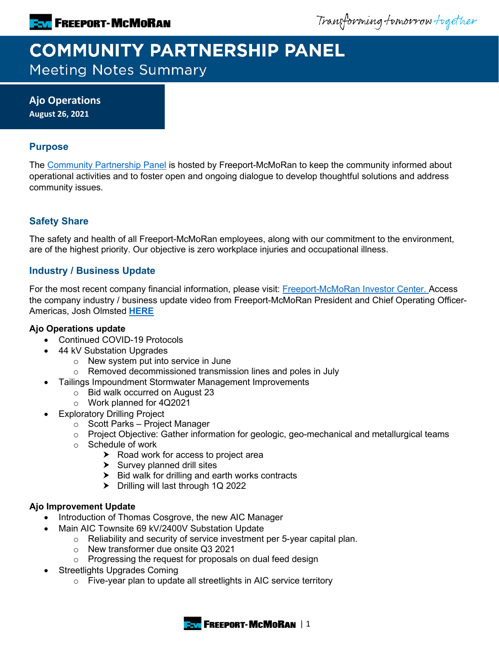Transforming tomorrow together

# **COMMUNITY PARTNERSHIP PANEL Meeting Notes Summary**

**Ajo Operations August 26, 2021**

## **Purpose**

The [Community Partnership Panel](https://www.freeportinmycommunity.com/stakeholders/stakeholder-engagement-) is hosted by Freeport-McMoRan to keep the community informed about operational activities and to foster open and ongoing dialogue to develop thoughtful solutions and address community issues.

# **Safety Share**

The safety and health of all Freeport-McMoRan employees, along with our commitment to the environment, are of the highest priority. Our objective is zero workplace injuries and occupational illness.

# **Industry / Business Update**

For the most recent company financial information, please visit: [Freeport-McMoRan Investor Center.](http://investors.fcx.com/investors/default.aspx) Access the company industry / business update video from Freeport-McMoRan President and Chief Operating Officer-Americas, Josh Olmsted **[HERE](https://fmi.hosted.panopto.com/Panopto/Pages/Viewer.aspx?id=1db79e82-512e-46a0-87fa-ad7b01320113)**

## **Ajo Operations update**

- Continued COVID-19 Protocols
- 44 kV Substation Upgrades
	- o New system put into service in June
	- o Removed decommissioned transmission lines and poles in July
- Tailings Impoundment Stormwater Management Improvements
	- o Bid walk occurred on August 23
	- o Work planned for 4Q2021
- **Exploratory Drilling Project** 
	- o Scott Parks Project Manager
	- o Project Objective: Gather information for geologic, geo-mechanical and metallurgical teams
	- o Schedule of work
		- $\triangleright$  Road work for access to project area
		- $\blacktriangleright$  Survey planned drill sites
		- $\blacktriangleright$  Bid walk for drilling and earth works contracts
		- > Drilling will last through 1Q 2022

## **Ajo Improvement Update**

- Introduction of Thomas Cosgrove, the new AIC Manager
	- Main AIC Townsite 69 kV/2400V Substation Update
		- o Reliability and security of service investment per 5-year capital plan.
		- o New transformer due onsite Q3 2021
		- o Progressing the request for proposals on dual feed design
- Streetlights Upgrades Coming
	- o Five-year plan to update all streetlights in AIC service territory

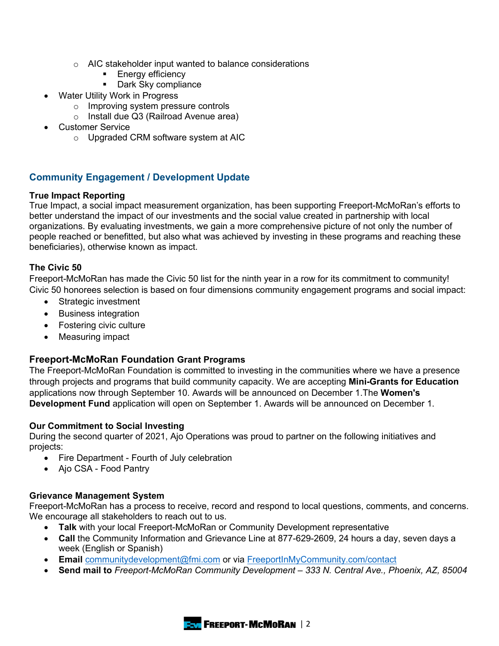- o AIC stakeholder input wanted to balance considerations
	- **Energy efficiency**
	- **Dark Sky compliance**
- **Water Utility Work in Progress** 
	- o Improving system pressure controls
	- o Install due Q3 (Railroad Avenue area)
- Customer Service
	- o Upgraded CRM software system at AIC

# **Community Engagement / Development Update**

## **True Impact Reporting**

True Impact, a social impact measurement organization, has been supporting Freeport-McMoRan's efforts to better understand the impact of our investments and the social value created in partnership with local organizations. By evaluating investments, we gain a more comprehensive picture of not only the number of people reached or benefitted, but also what was achieved by investing in these programs and reaching these beneficiaries), otherwise known as impact.

## **The Civic 50**

Freeport-McMoRan has made the Civic 50 list for the ninth year in a row for its commitment to community! Civic 50 honorees selection is based on four dimensions community engagement programs and social impact:

- Strategic investment
- Business integration
- Fostering civic culture
- Measuring impact

# **Freeport-McMoRan Foundation Grant Programs**

The Freeport-McMoRan Foundation is committed to investing in the communities where we have a presence through projects and programs that build community capacity. We are accepting **Mini-Grants for Education** applications now through September 10. Awards will be announced on December 1.The **Women's Development Fund** application will open on September 1. Awards will be announced on December 1.

## **Our Commitment to Social Investing**

During the second quarter of 2021, Ajo Operations was proud to partner on the following initiatives and projects:

- Fire Department Fourth of July celebration
- Ajo CSA Food Pantry

## **Grievance Management System**

Freeport-McMoRan has a process to receive, record and respond to local questions, comments, and concerns. We encourage all stakeholders to reach out to us.

- **Talk** with your local Freeport-McMoRan or Community Development representative
- **Call** the Community Information and Grievance Line at 877-629-2609, 24 hours a day, seven days a week (English or Spanish)
- **Email** [communitydevelopment@fmi.com](mailto:communitydevelopment@fmi.com) or via [FreeportInMyCommunity.com/contact](http://freeportinmycommunity.com/contact)
- **Send mail to** *Freeport-McMoRan Community Development – 333 N. Central Ave., Phoenix, AZ, 85004*